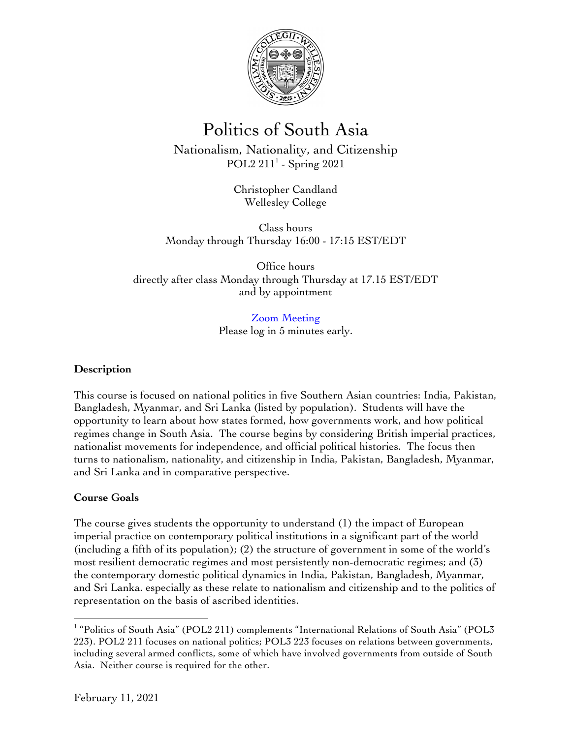

# Politics of South Asia

Nationalism, Nationality, and Citizenship POL $2\ 211<sup>1</sup>$  - Spring 2021

> Christopher Candland Wellesley College

Class hours Monday through Thursday 16:00 - 17:15 EST/EDT

Office hours directly after class Monday through Thursday at 17.15 EST/EDT and by appointment

> Zoom Meeting Please log in 5 minutes early.

# **Description**

This course is focused on national politics in five Southern Asian countries: India, Pakistan, Bangladesh, Myanmar, and Sri Lanka (listed by population). Students will have the opportunity to learn about how states formed, how governments work, and how political regimes change in South Asia. The course begins by considering British imperial practices, nationalist movements for independence, and official political histories. The focus then turns to nationalism, nationality, and citizenship in India, Pakistan, Bangladesh, Myanmar, and Sri Lanka and in comparative perspective.

# **Course Goals**

The course gives students the opportunity to understand (1) the impact of European imperial practice on contemporary political institutions in a significant part of the world (including a fifth of its population); (2) the structure of government in some of the world's most resilient democratic regimes and most persistently non-democratic regimes; and (3) the contemporary domestic political dynamics in India, Pakistan, Bangladesh, Myanmar, and Sri Lanka. especially as these relate to nationalism and citizenship and to the politics of representation on the basis of ascribed identities.

<sup>&</sup>lt;sup>1</sup> "Politics of South Asia" (POL2 211) complements "International Relations of South Asia" (POL3 223). POL2 211 focuses on national politics; POL3 223 focuses on relations between governments, including several armed conflicts, some of which have involved governments from outside of South Asia. Neither course is required for the other.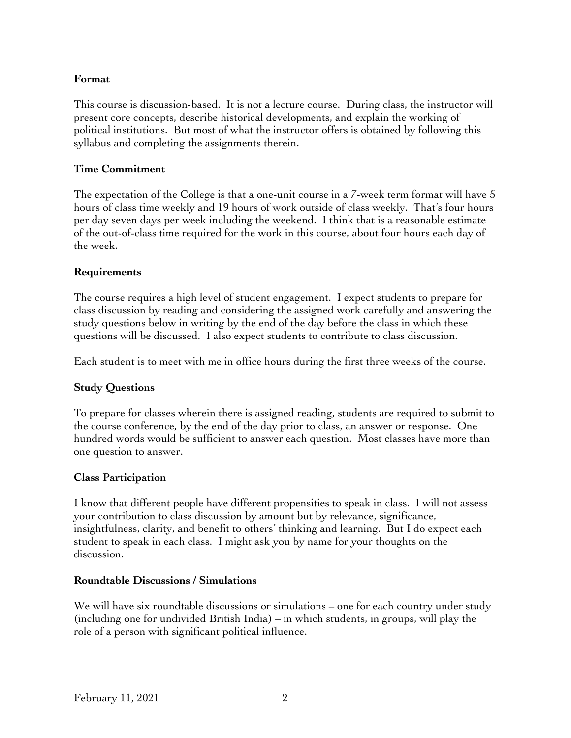# **Format**

This course is discussion-based. It is not a lecture course. During class, the instructor will present core concepts, describe historical developments, and explain the working of political institutions. But most of what the instructor offers is obtained by following this syllabus and completing the assignments therein.

# **Time Commitment**

The expectation of the College is that a one-unit course in a 7-week term format will have 5 hours of class time weekly and 19 hours of work outside of class weekly. That's four hours per day seven days per week including the weekend. I think that is a reasonable estimate of the out-of-class time required for the work in this course, about four hours each day of the week.

# **Requirements**

The course requires a high level of student engagement. I expect students to prepare for class discussion by reading and considering the assigned work carefully and answering the study questions below in writing by the end of the day before the class in which these questions will be discussed. I also expect students to contribute to class discussion.

Each student is to meet with me in office hours during the first three weeks of the course.

# **Study Questions**

To prepare for classes wherein there is assigned reading, students are required to submit to the course conference, by the end of the day prior to class, an answer or response. One hundred words would be sufficient to answer each question. Most classes have more than one question to answer.

#### **Class Participation**

I know that different people have different propensities to speak in class. I will not assess your contribution to class discussion by amount but by relevance, significance, insightfulness, clarity, and benefit to others' thinking and learning. But I do expect each student to speak in each class. I might ask you by name for your thoughts on the discussion.

#### **Roundtable Discussions / Simulations**

We will have six roundtable discussions or simulations – one for each country under study (including one for undivided British India) – in which students, in groups, will play the role of a person with significant political influence.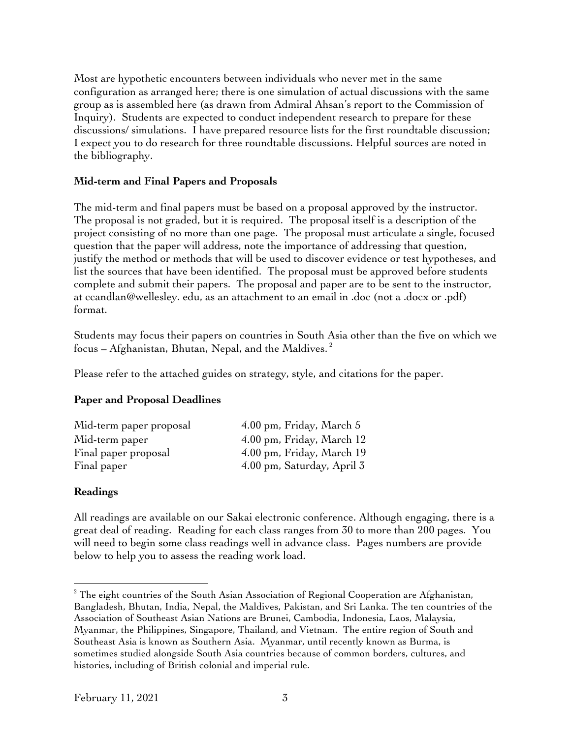Most are hypothetic encounters between individuals who never met in the same configuration as arranged here; there is one simulation of actual discussions with the same group as is assembled here (as drawn from Admiral Ahsan's report to the Commission of Inquiry). Students are expected to conduct independent research to prepare for these discussions/ simulations. I have prepared resource lists for the first roundtable discussion; I expect you to do research for three roundtable discussions. Helpful sources are noted in the bibliography.

### **Mid-term and Final Papers and Proposals**

The mid-term and final papers must be based on a proposal approved by the instructor. The proposal is not graded, but it is required. The proposal itself is a description of the project consisting of no more than one page. The proposal must articulate a single, focused question that the paper will address, note the importance of addressing that question, justify the method or methods that will be used to discover evidence or test hypotheses, and list the sources that have been identified. The proposal must be approved before students complete and submit their papers. The proposal and paper are to be sent to the instructor, at ccandlan@wellesley. edu, as an attachment to an email in .doc (not a .docx or .pdf) format.

Students may focus their papers on countries in South Asia other than the five on which we focus – Afghanistan, Bhutan, Nepal, and the Maldives. $^2$ 

Please refer to the attached guides on strategy, style, and citations for the paper.

# **Paper and Proposal Deadlines**

| Mid-term paper proposal | 4.00 pm, Friday, March 5   |
|-------------------------|----------------------------|
| Mid-term paper          | 4.00 pm, Friday, March 12  |
| Final paper proposal    | 4.00 pm, Friday, March 19  |
| Final paper             | 4.00 pm, Saturday, April 3 |

#### **Readings**

All readings are available on our Sakai electronic conference. Although engaging, there is a great deal of reading. Reading for each class ranges from 30 to more than 200 pages. You will need to begin some class readings well in advance class. Pages numbers are provide below to help you to assess the reading work load.

 $\overline{a}$  $2$ <sup>2</sup> The eight countries of the South Asian Association of Regional Cooperation are Afghanistan, Bangladesh, Bhutan, India, Nepal, the Maldives, Pakistan, and Sri Lanka. The ten countries of the Association of Southeast Asian Nations are Brunei, Cambodia, Indonesia, Laos, Malaysia, Myanmar, the Philippines, Singapore, Thailand, and Vietnam. The entire region of South and Southeast Asia is known as Southern Asia. Myanmar, until recently known as Burma, is sometimes studied alongside South Asia countries because of common borders, cultures, and histories, including of British colonial and imperial rule.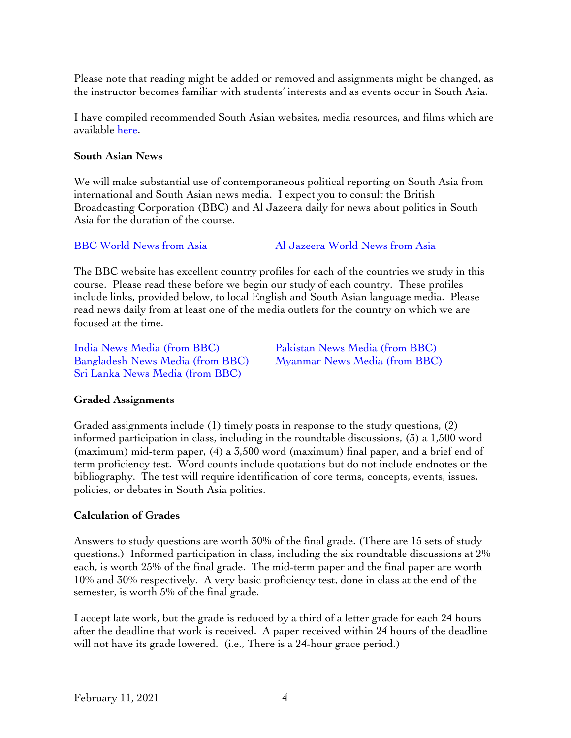Please note that reading might be added or removed and assignments might be changed, as the instructor becomes familiar with students' interests and as events occur in South Asia.

I have compiled recommended South Asian websites, media resources, and films which are available here.

#### **South Asian News**

We will make substantial use of contemporaneous political reporting on South Asia from international and South Asian news media. I expect you to consult the British Broadcasting Corporation (BBC) and Al Jazeera daily for news about politics in South Asia for the duration of the course.

BBC World News from Asia Al Jazeera World News from Asia

The BBC website has excellent country profiles for each of the countries we study in this course. Please read these before we begin our study of each country. These profiles include links, provided below, to local English and South Asian language media. Please read news daily from at least one of the media outlets for the country on which we are focused at the time.

India News Media (from BBC) Pakistan News Media (from BBC) Bangladesh News Media (from BBC) Myanmar News Media (from BBC) Sri Lanka News Media (from BBC)

#### **Graded Assignments**

Graded assignments include (1) timely posts in response to the study questions, (2) informed participation in class, including in the roundtable discussions, (3) a 1,500 word (maximum) mid-term paper, (4) a 3,500 word (maximum) final paper, and a brief end of term proficiency test. Word counts include quotations but do not include endnotes or the bibliography. The test will require identification of core terms, concepts, events, issues, policies, or debates in South Asia politics.

#### **Calculation of Grades**

Answers to study questions are worth 30% of the final grade. (There are 15 sets of study questions.) Informed participation in class, including the six roundtable discussions at 2% each, is worth 25% of the final grade. The mid-term paper and the final paper are worth 10% and 30% respectively. A very basic proficiency test, done in class at the end of the semester, is worth 5% of the final grade.

I accept late work, but the grade is reduced by a third of a letter grade for each 24 hours after the deadline that work is received. A paper received within 24 hours of the deadline will not have its grade lowered. (i.e., There is a 24-hour grace period.)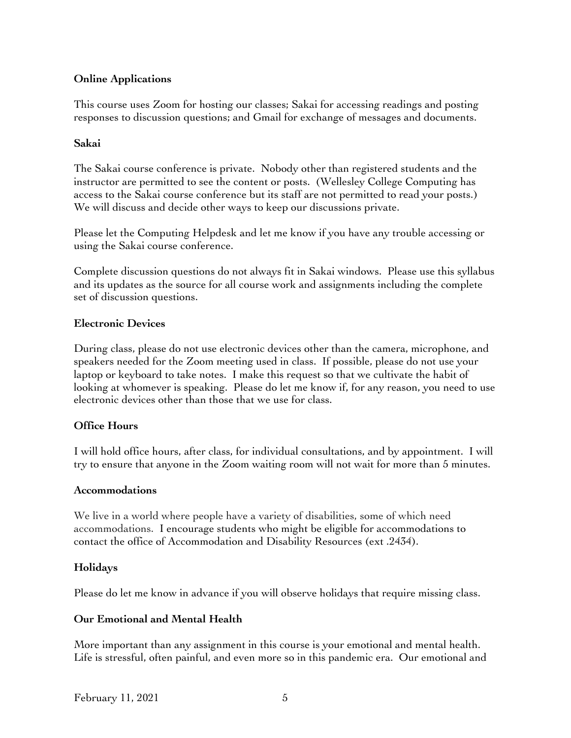# **Online Applications**

This course uses Zoom for hosting our classes; Sakai for accessing readings and posting responses to discussion questions; and Gmail for exchange of messages and documents.

# **Sakai**

The Sakai course conference is private. Nobody other than registered students and the instructor are permitted to see the content or posts. (Wellesley College Computing has access to the Sakai course conference but its staff are not permitted to read your posts.) We will discuss and decide other ways to keep our discussions private.

Please let the Computing Helpdesk and let me know if you have any trouble accessing or using the Sakai course conference.

Complete discussion questions do not always fit in Sakai windows. Please use this syllabus and its updates as the source for all course work and assignments including the complete set of discussion questions.

# **Electronic Devices**

During class, please do not use electronic devices other than the camera, microphone, and speakers needed for the Zoom meeting used in class. If possible, please do not use your laptop or keyboard to take notes. I make this request so that we cultivate the habit of looking at whomever is speaking. Please do let me know if, for any reason, you need to use electronic devices other than those that we use for class.

# **Office Hours**

I will hold office hours, after class, for individual consultations, and by appointment. I will try to ensure that anyone in the Zoom waiting room will not wait for more than 5 minutes.

# **Accommodations**

We live in a world where people have a variety of disabilities, some of which need accommodations. I encourage students who might be eligible for accommodations to contact the office of Accommodation and Disability Resources (ext .2434).

# **Holidays**

Please do let me know in advance if you will observe holidays that require missing class.

# **Our Emotional and Mental Health**

More important than any assignment in this course is your emotional and mental health. Life is stressful, often painful, and even more so in this pandemic era. Our emotional and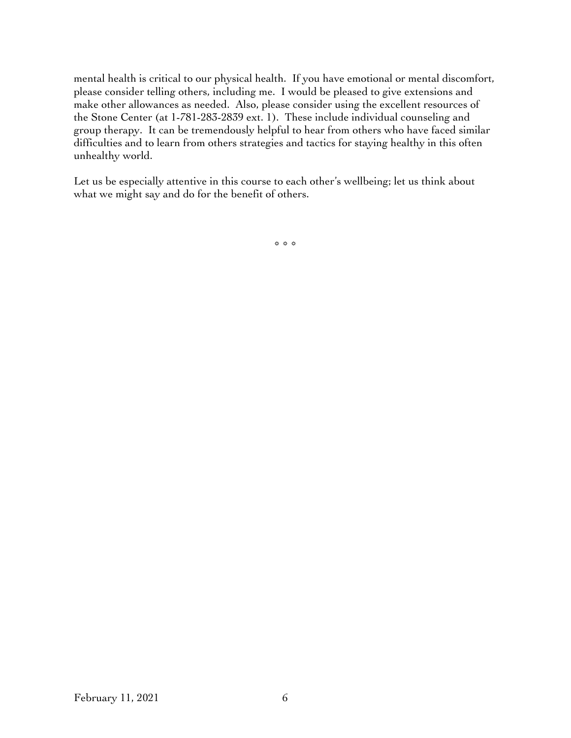mental health is critical to our physical health. If you have emotional or mental discomfort, please consider telling others, including me. I would be pleased to give extensions and make other allowances as needed. Also, please consider using the excellent resources of the Stone Center (at 1-781-283-2839 ext. 1). These include individual counseling and group therapy. It can be tremendously helpful to hear from others who have faced similar difficulties and to learn from others strategies and tactics for staying healthy in this often unhealthy world.

Let us be especially attentive in this course to each other's wellbeing; let us think about what we might say and do for the benefit of others.

\* \* \*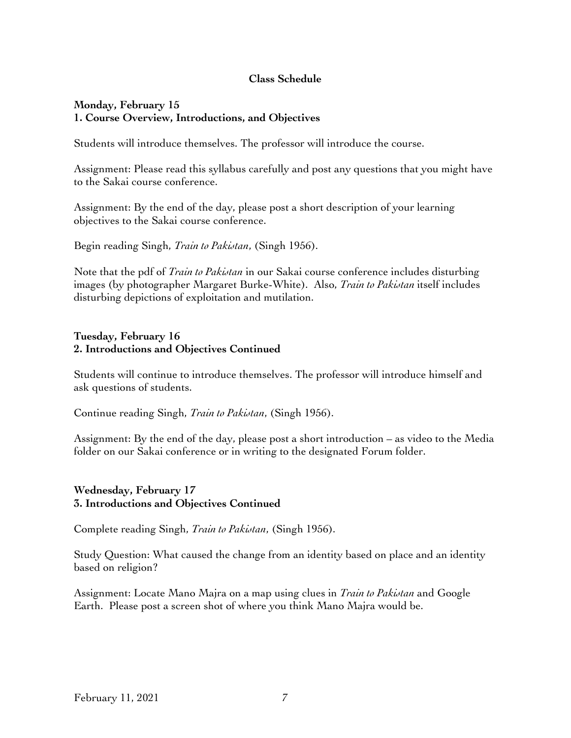# **Class Schedule**

#### **Monday, February 15 1. Course Overview, Introductions, and Objectives**

Students will introduce themselves. The professor will introduce the course.

Assignment: Please read this syllabus carefully and post any questions that you might have to the Sakai course conference.

Assignment: By the end of the day, please post a short description of your learning objectives to the Sakai course conference.

Begin reading Singh, *Train to Pakistan*, (Singh 1956).

Note that the pdf of *Train to Pakistan* in our Sakai course conference includes disturbing images (by photographer Margaret Burke-White). Also, *Train to Pakistan* itself includes disturbing depictions of exploitation and mutilation.

### **Tuesday, February 16 2. Introductions and Objectives Continued**

Students will continue to introduce themselves. The professor will introduce himself and ask questions of students.

Continue reading Singh, *Train to Pakistan*, (Singh 1956).

Assignment: By the end of the day, please post a short introduction – as video to the Media folder on our Sakai conference or in writing to the designated Forum folder.

# **Wednesday, February 17 3. Introductions and Objectives Continued**

Complete reading Singh, *Train to Pakistan*, (Singh 1956).

Study Question: What caused the change from an identity based on place and an identity based on religion?

Assignment: Locate Mano Majra on a map using clues in *Train to Pakistan* and Google Earth. Please post a screen shot of where you think Mano Majra would be.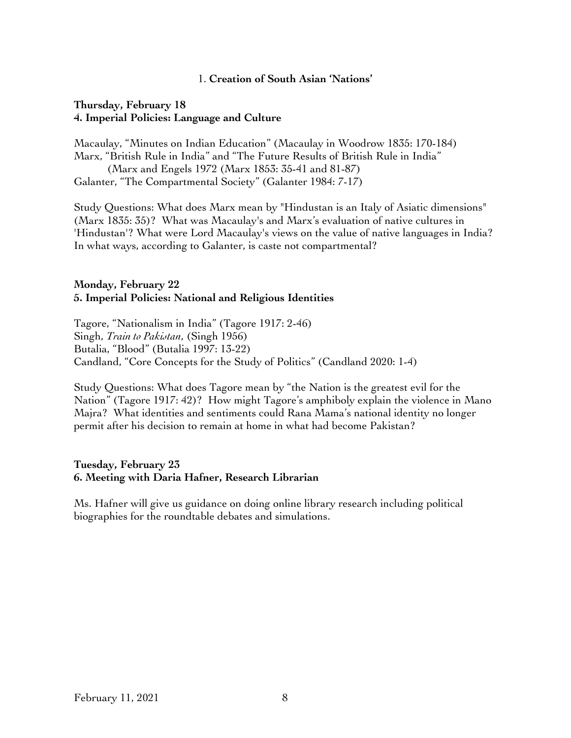#### 1. **Creation of South Asian 'Nations'**

#### **Thursday, February 18 4. Imperial Policies: Language and Culture**

Macaulay, "Minutes on Indian Education" (Macaulay in Woodrow 1835: 170-184) Marx, "British Rule in India" and "The Future Results of British Rule in India" (Marx and Engels 1972 (Marx 1853: 35-41 and 81-87) Galanter, "The Compartmental Society" (Galanter 1984: 7-17)

Study Questions: What does Marx mean by "Hindustan is an Italy of Asiatic dimensions" (Marx 1835: 35)? What was Macaulay's and Marx's evaluation of native cultures in 'Hindustan'? What were Lord Macaulay's views on the value of native languages in India? In what ways, according to Galanter, is caste not compartmental?

# **Monday, February 22 5. Imperial Policies: National and Religious Identities**

Tagore, "Nationalism in India" (Tagore 1917: 2-46) Singh, *Train to Pakistan*, (Singh 1956) Butalia, "Blood" (Butalia 1997: 13-22) Candland, "Core Concepts for the Study of Politics" (Candland 2020: 1-4)

Study Questions: What does Tagore mean by "the Nation is the greatest evil for the Nation" (Tagore 1917: 42)? How might Tagore's amphiboly explain the violence in Mano Majra? What identities and sentiments could Rana Mama's national identity no longer permit after his decision to remain at home in what had become Pakistan?

# **Tuesday, February 23 6. Meeting with Daria Hafner, Research Librarian**

Ms. Hafner will give us guidance on doing online library research including political biographies for the roundtable debates and simulations.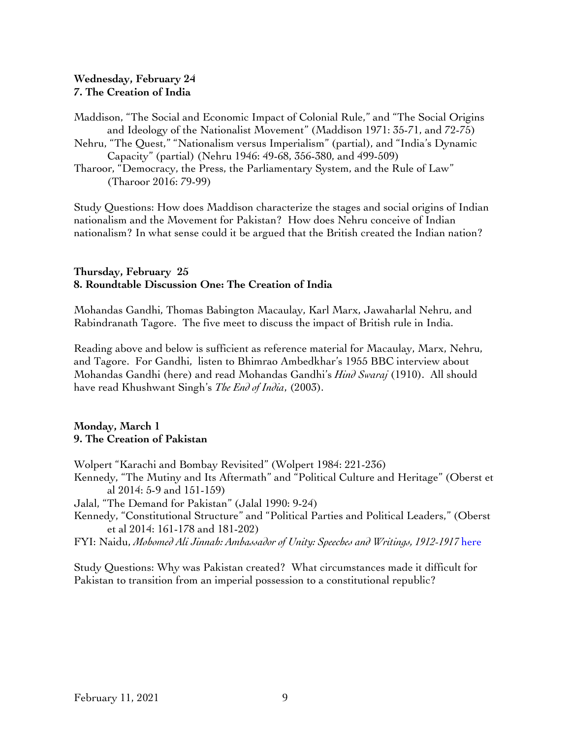# **Wednesday, February 24 7. The Creation of India**

- Maddison, "The Social and Economic Impact of Colonial Rule," and "The Social Origins and Ideology of the Nationalist Movement" (Maddison 1971: 35-71, and 72-75)
- Nehru, "The Quest," "Nationalism versus Imperialism" (partial), and "India's Dynamic Capacity" (partial) (Nehru 1946: 49-68, 356-380, and 499-509)
- Tharoor, "Democracy, the Press, the Parliamentary System, and the Rule of Law" (Tharoor 2016: 79-99)

Study Questions: How does Maddison characterize the stages and social origins of Indian nationalism and the Movement for Pakistan? How does Nehru conceive of Indian nationalism? In what sense could it be argued that the British created the Indian nation?

#### **Thursday, February 25 8. Roundtable Discussion One: The Creation of India**

Mohandas Gandhi, Thomas Babington Macaulay, Karl Marx, Jawaharlal Nehru, and Rabindranath Tagore. The five meet to discuss the impact of British rule in India.

Reading above and below is sufficient as reference material for Macaulay, Marx, Nehru, and Tagore. For Gandhi, listen to Bhimrao Ambedkhar's 1955 BBC interview about Mohandas Gandhi (here) and read Mohandas Gandhi's *Hind Swaraj* (1910). All should have read Khushwant Singh's *The End of India*, (2003).

#### **Monday, March 1 9. The Creation of Pakistan**

Wolpert "Karachi and Bombay Revisited" (Wolpert 1984: 221-236)

Kennedy, "The Mutiny and Its Aftermath" and "Political Culture and Heritage" (Oberst et al 2014: 5-9 and 151-159)

Jalal, "The Demand for Pakistan" (Jalal 1990: 9-24)

- Kennedy, "Constitutional Structure" and "Political Parties and Political Leaders," (Oberst et al 2014: 161-178 and 181-202)
- FYI: Naidu, *Mohomed Ali Jinnah: Ambassador of Unity: Speeches and Writings, 1912-1917* here

Study Questions: Why was Pakistan created? What circumstances made it difficult for Pakistan to transition from an imperial possession to a constitutional republic?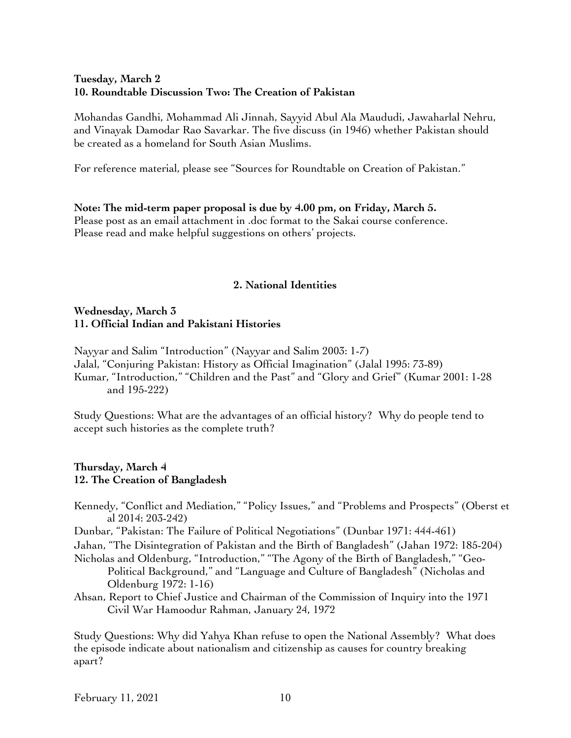# **Tuesday, March 2 10. Roundtable Discussion Two: The Creation of Pakistan**

Mohandas Gandhi, Mohammad Ali Jinnah, Sayyid Abul Ala Maududi, Jawaharlal Nehru, and Vinayak Damodar Rao Savarkar. The five discuss (in 1946) whether Pakistan should be created as a homeland for South Asian Muslims.

For reference material, please see "Sources for Roundtable on Creation of Pakistan."

# **Note: The mid-term paper proposal is due by 4.00 pm, on Friday, March 5.** Please post as an email attachment in .doc format to the Sakai course conference.

Please read and make helpful suggestions on others' projects.

# **2. National Identities**

# **Wednesday, March 3 11. Official Indian and Pakistani Histories**

Nayyar and Salim "Introduction" (Nayyar and Salim 2003: 1-7) Jalal, "Conjuring Pakistan: History as Official Imagination" (Jalal 1995: 73-89) Kumar, "Introduction," "Children and the Past" and "Glory and Grief" (Kumar 2001: 1-28 and 195-222)

Study Questions: What are the advantages of an official history? Why do people tend to accept such histories as the complete truth?

#### **Thursday, March 4 12. The Creation of Bangladesh**

Kennedy, "Conflict and Mediation," "Policy Issues," and "Problems and Prospects" (Oberst et al 2014: 203-242) Dunbar, "Pakistan: The Failure of Political Negotiations" (Dunbar 1971: 444-461) Jahan, "The Disintegration of Pakistan and the Birth of Bangladesh" (Jahan 1972: 185-204) Nicholas and Oldenburg, "Introduction," "The Agony of the Birth of Bangladesh," "Geo-Political Background," and "Language and Culture of Bangladesh" (Nicholas and Oldenburg 1972: 1-16) Ahsan, Report to Chief Justice and Chairman of the Commission of Inquiry into the 1971 Civil War Hamoodur Rahman, January 24, 1972

Study Questions: Why did Yahya Khan refuse to open the National Assembly? What does the episode indicate about nationalism and citizenship as causes for country breaking apart?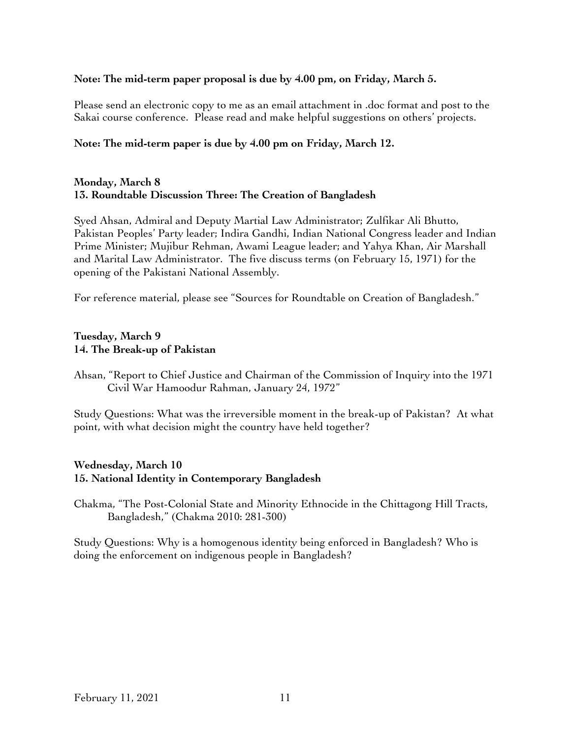### **Note: The mid-term paper proposal is due by 4.00 pm, on Friday, March 5.**

Please send an electronic copy to me as an email attachment in .doc format and post to the Sakai course conference. Please read and make helpful suggestions on others' projects.

# **Note: The mid-term paper is due by 4.00 pm on Friday, March 12.**

#### **Monday, March 8 13. Roundtable Discussion Three: The Creation of Bangladesh**

Syed Ahsan, Admiral and Deputy Martial Law Administrator; Zulfikar Ali Bhutto, Pakistan Peoples' Party leader; Indira Gandhi, Indian National Congress leader and Indian Prime Minister; Mujibur Rehman, Awami League leader; and Yahya Khan, Air Marshall and Marital Law Administrator. The five discuss terms (on February 15, 1971) for the opening of the Pakistani National Assembly.

For reference material, please see "Sources for Roundtable on Creation of Bangladesh."

# **Tuesday, March 9 14. The Break-up of Pakistan**

Ahsan, "Report to Chief Justice and Chairman of the Commission of Inquiry into the 1971 Civil War Hamoodur Rahman, January 24, 1972"

Study Questions: What was the irreversible moment in the break-up of Pakistan? At what point, with what decision might the country have held together?

# **Wednesday, March 10 15. National Identity in Contemporary Bangladesh**

Chakma, "The Post-Colonial State and Minority Ethnocide in the Chittagong Hill Tracts, Bangladesh," (Chakma 2010: 281-300)

Study Questions: Why is a homogenous identity being enforced in Bangladesh? Who is doing the enforcement on indigenous people in Bangladesh?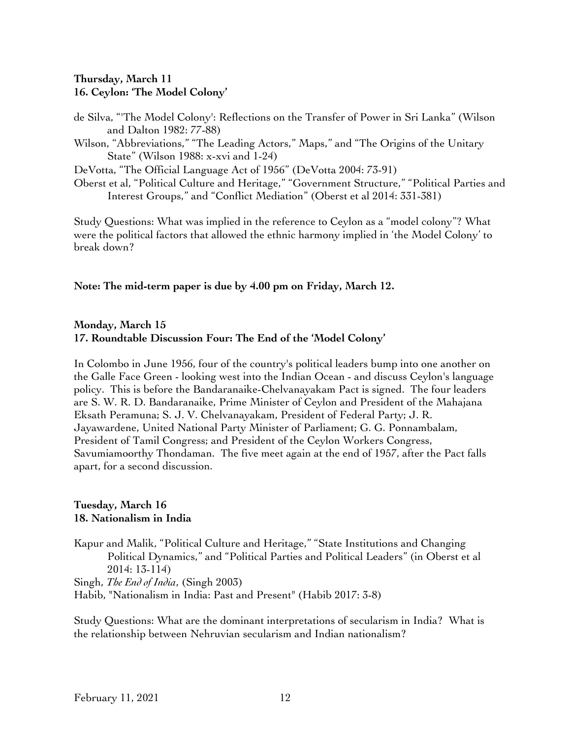# **Thursday, March 11 16. Ceylon: 'The Model Colony'**

- de Silva, "'The Model Colony': Reflections on the Transfer of Power in Sri Lanka" (Wilson and Dalton 1982: 77-88)
- Wilson, "Abbreviations," "The Leading Actors," Maps," and "The Origins of the Unitary State" (Wilson 1988: x-xvi and 1-24)

DeVotta, "The Official Language Act of 1956" (DeVotta 2004: 73-91)

Oberst et al, "Political Culture and Heritage," "Government Structure," "Political Parties and Interest Groups," and "Conflict Mediation" (Oberst et al 2014: 331-381)

Study Questions: What was implied in the reference to Ceylon as a "model colony"? What were the political factors that allowed the ethnic harmony implied in 'the Model Colony' to break down?

#### **Note: The mid-term paper is due by 4.00 pm on Friday, March 12.**

# **Monday, March 15 17. Roundtable Discussion Four: The End of the 'Model Colony'**

In Colombo in June 1956, four of the country's political leaders bump into one another on the Galle Face Green - looking west into the Indian Ocean - and discuss Ceylon's language policy. This is before the Bandaranaike-Chelvanayakam Pact is signed. The four leaders are S. W. R. D. Bandaranaike, Prime Minister of Ceylon and President of the Mahajana Eksath Peramuna; S. J. V. Chelvanayakam, President of Federal Party; J. R. Jayawardene, United National Party Minister of Parliament; G. G. Ponnambalam, President of Tamil Congress; and President of the Ceylon Workers Congress, Savumiamoorthy Thondaman. The five meet again at the end of 1957, after the Pact falls apart, for a second discussion.

# **Tuesday, March 16 18. Nationalism in India**

Kapur and Malik, "Political Culture and Heritage," "State Institutions and Changing Political Dynamics," and "Political Parties and Political Leaders" (in Oberst et al 2014: 13-114)

Singh, *The End of India*, (Singh 2003) Habib, "Nationalism in India: Past and Present" (Habib 2017: 3-8)

Study Questions: What are the dominant interpretations of secularism in India? What is the relationship between Nehruvian secularism and Indian nationalism?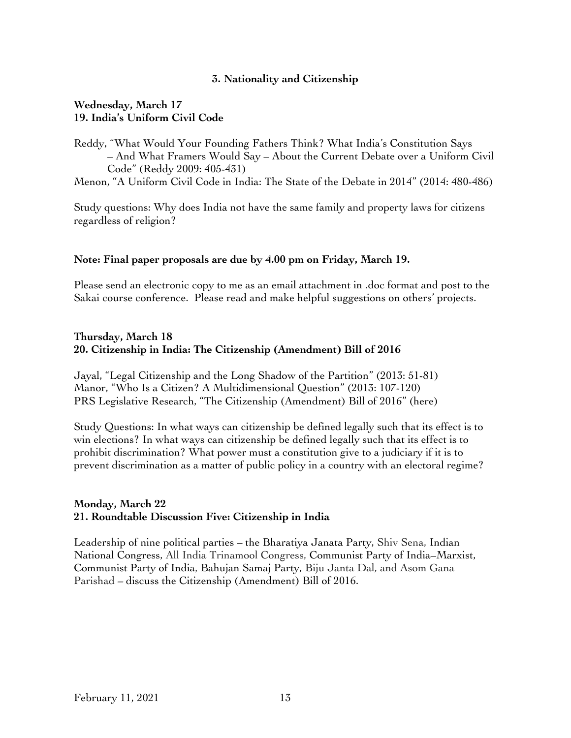# **3. Nationality and Citizenship**

### **Wednesday, March 17 19. India's Uniform Civil Code**

Reddy, "What Would Your Founding Fathers Think? What India's Constitution Says – And What Framers Would Say – About the Current Debate over a Uniform Civil Code" (Reddy 2009: 405-431)

Menon, "A Uniform Civil Code in India: The State of the Debate in 2014" (2014: 480-486)

Study questions: Why does India not have the same family and property laws for citizens regardless of religion?

#### **Note: Final paper proposals are due by 4.00 pm on Friday, March 19.**

Please send an electronic copy to me as an email attachment in .doc format and post to the Sakai course conference. Please read and make helpful suggestions on others' projects.

#### **Thursday, March 18 20. Citizenship in India: The Citizenship (Amendment) Bill of 2016**

Jayal, "Legal Citizenship and the Long Shadow of the Partition" (2013: 51-81) Manor, "Who Is a Citizen? A Multidimensional Question" (2013: 107-120) PRS Legislative Research, "The Citizenship (Amendment) Bill of 2016" (here)

Study Questions: In what ways can citizenship be defined legally such that its effect is to win elections? In what ways can citizenship be defined legally such that its effect is to prohibit discrimination? What power must a constitution give to a judiciary if it is to prevent discrimination as a matter of public policy in a country with an electoral regime?

# **Monday, March 22 21. Roundtable Discussion Five: Citizenship in India**

Leadership of nine political parties – the Bharatiya Janata Party, Shiv Sena, Indian National Congress, All India Trinamool Congress, Communist Party of India–Marxist, Communist Party of India, Bahujan Samaj Party, Biju Janta Dal, and Asom Gana Parishad – discuss the Citizenship (Amendment) Bill of 2016.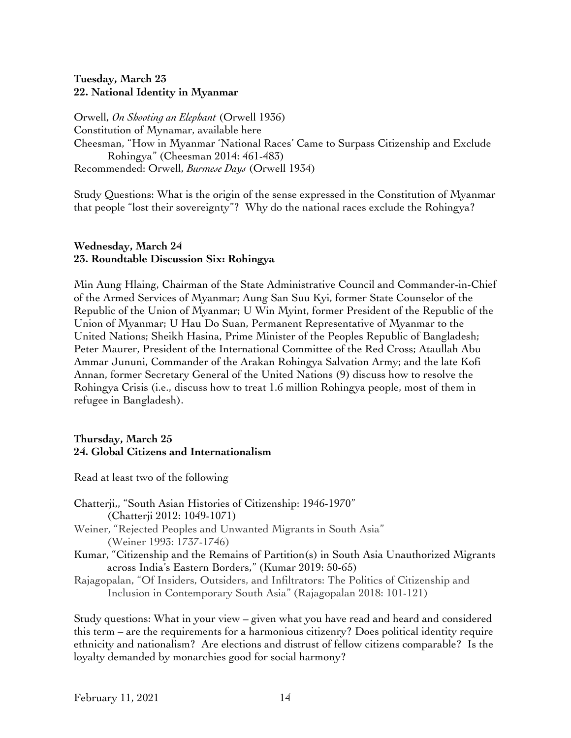# **Tuesday, March 23 22. National Identity in Myanmar**

Orwell, *On Shooting an Elephant* (Orwell 1936) Constitution of Mynamar, available here Cheesman, "How in Myanmar 'National Races' Came to Surpass Citizenship and Exclude Rohingya" (Cheesman 2014: 461-483) Recommended: Orwell, *Burmese Days* (Orwell 1934)

Study Questions: What is the origin of the sense expressed in the Constitution of Myanmar that people "lost their sovereignty"? Why do the national races exclude the Rohingya?

# **Wednesday, March 24 23. Roundtable Discussion Six: Rohingya**

Min Aung Hlaing, Chairman of the State Administrative Council and Commander-in-Chief of the Armed Services of Myanmar; Aung San Suu Kyi, former State Counselor of the Republic of the Union of Myanmar; U Win Myint, former President of the Republic of the Union of Myanmar; U Hau Do Suan, Permanent Representative of Myanmar to the United Nations; Sheikh Hasina, Prime Minister of the Peoples Republic of Bangladesh; Peter Maurer, President of the International Committee of the Red Cross; Ataullah Abu Ammar Jununi, Commander of the Arakan Rohingya Salvation Army; and the late Kofi Annan, former Secretary General of the United Nations (9) discuss how to resolve the Rohingya Crisis (i.e., discuss how to treat 1.6 million Rohingya people, most of them in refugee in Bangladesh).

# **Thursday, March 25 24. Global Citizens and Internationalism**

Read at least two of the following

- Chatterji,, "South Asian Histories of Citizenship: 1946-1970" (Chatterji 2012: 1049-1071)
- Weiner, "Rejected Peoples and Unwanted Migrants in South Asia" (Weiner 1993: 1737-1746)
- Kumar, "Citizenship and the Remains of Partition(s) in South Asia Unauthorized Migrants across India's Eastern Borders," (Kumar 2019: 50-65)
- Rajagopalan, "Of Insiders, Outsiders, and Infiltrators: The Politics of Citizenship and Inclusion in Contemporary South Asia" (Rajagopalan 2018: 101-121)

Study questions: What in your view – given what you have read and heard and considered this term – are the requirements for a harmonious citizenry? Does political identity require ethnicity and nationalism? Are elections and distrust of fellow citizens comparable? Is the loyalty demanded by monarchies good for social harmony?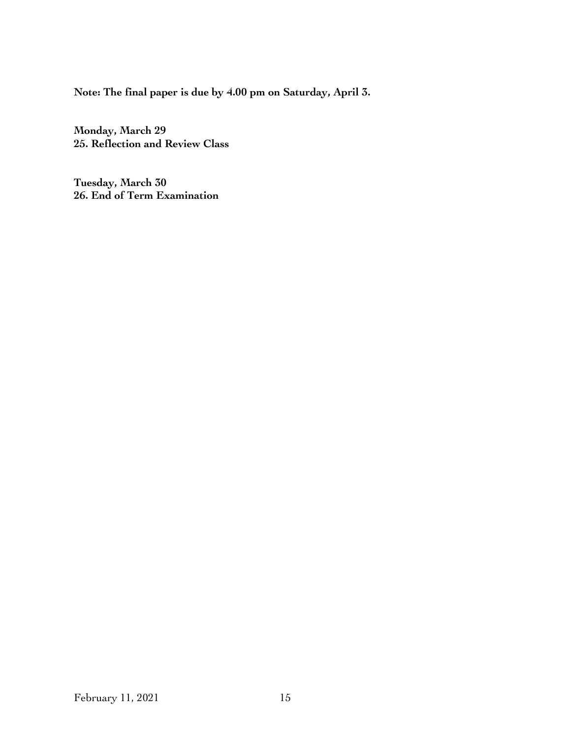**Note: The final paper is due by 4.00 pm on Saturday, April 3.** 

**Monday, March 29 25. Reflection and Review Class**

**Tuesday, March 30 26. End of Term Examination**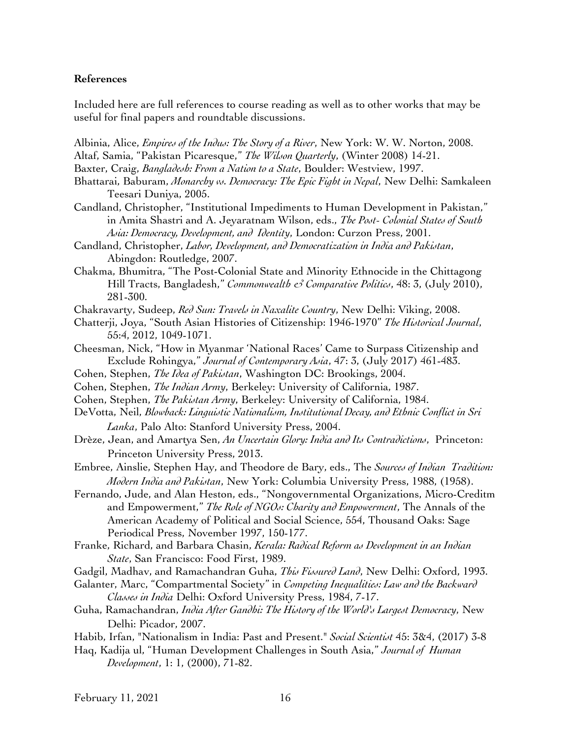#### **References**

Included here are full references to course reading as well as to other works that may be useful for final papers and roundtable discussions.

Albinia, Alice, *Empires of the Indus: The Story of a River*, New York: W. W. Norton, 2008.

- Altaf, Samia, "Pakistan Picaresque," *The Wilson Quarterly*, (Winter 2008) 14-21.
- Baxter, Craig, *Bangladesh: From a Nation to a State*, Boulder: Westview, 1997.
- Bhattarai, Baburam, *Monarchy vs. Democracy: The Epic Fight in Nepal*, New Delhi: Samkaleen Teesari Duniya, 2005.
- Candland, Christopher, "Institutional Impediments to Human Development in Pakistan," in Amita Shastri and A. Jeyaratnam Wilson, eds., *The Post- Colonial States of South Asia: Democracy, Development, and Identity*, London: Curzon Press, 2001.
- Candland, Christopher, *Labor, Development, and Democratization in India and Pakistan*, Abingdon: Routledge, 2007.
- Chakma, Bhumitra, "The Post-Colonial State and Minority Ethnocide in the Chittagong Hill Tracts, Bangladesh," *Commonwealth & Comparative Politics*, 48: 3, (July 2010), 281-300.
- Chakravarty, Sudeep, *Red Sun: Travels in Naxalite Country*, New Delhi: Viking, 2008.
- Chatterji, Joya, "South Asian Histories of Citizenship: 1946-1970" *The Historical Journal*, 55:4, 2012, 1049-1071.
- Cheesman, Nick, "How in Myanmar 'National Races' Came to Surpass Citizenship and Exclude Rohingya," *Journal of Contemporary Asia*, 47: 3, (July 2017) 461-483.
- Cohen, Stephen, *The Idea of Pakistan*, Washington DC: Brookings, 2004.
- Cohen, Stephen, *The Indian Army*, Berkeley: University of California, 1987.
- Cohen, Stephen, *The Pakistan Army*, Berkeley: University of California, 1984.
- DeVotta, Neil, *Blowback: Linguistic Nationalism, Institutional Decay, and Ethnic Conflict in Sri Lanka*, Palo Alto: Stanford University Press, 2004.
- Drèze, Jean, and Amartya Sen, *An Uncertain Glory: India and Its Contradictions*, Princeton: Princeton University Press, 2013.
- Embree, Ainslie, Stephen Hay, and Theodore de Bary, eds., The *Sources of Indian Tradition: Modern India and Pakistan*, New York: Columbia University Press, 1988, (1958).
- Fernando, Jude, and Alan Heston, eds., "Nongovernmental Organizations, Micro-Creditm and Empowerment," *The Role of NGOs: Charity and Empowerment*, The Annals of the American Academy of Political and Social Science, 554, Thousand Oaks: Sage Periodical Press, November 1997, 150-177.
- Franke, Richard, and Barbara Chasin, *Kerala: Radical Reform as Development in an Indian State*, San Francisco: Food First, 1989.
- Gadgil, Madhav, and Ramachandran Guha, *This Fissured Land*, New Delhi: Oxford, 1993.
- Galanter, Marc, "Compartmental Society" in *Competing Inequalities: Law and the Backward Classes in India* Delhi: Oxford University Press, 1984, 7-17.
- Guha, Ramachandran, *India After Gandhi: The History of the World's Largest Democracy*, New Delhi: Picador, 2007.
- Habib, Irfan, "Nationalism in India: Past and Present." *Social Scientist* 45: 3&4, (2017) 3-8
- Haq, Kadija ul, "Human Development Challenges in South Asia," *Journal of Human Development*, 1: 1, (2000), 71-82.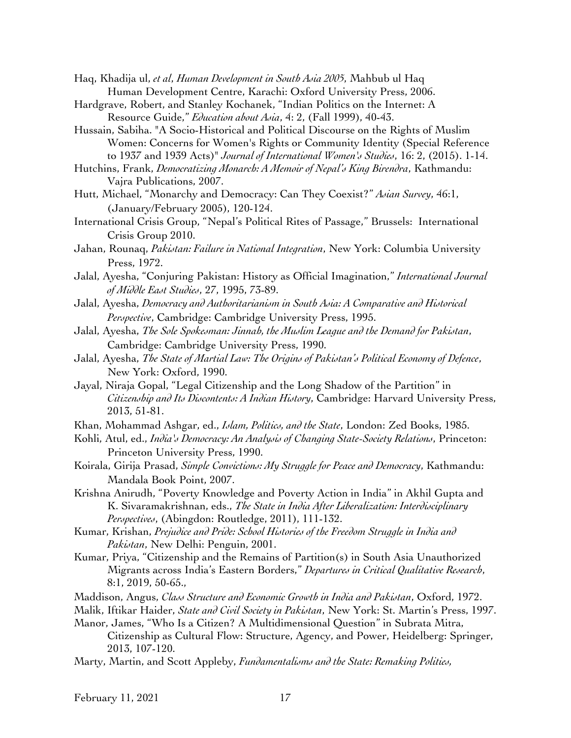Haq, Khadija ul, *et al*, *Human Development in South Asia 2005*, Mahbub ul Haq Human Development Centre, Karachi: Oxford University Press, 2006.

- Hardgrave, Robert, and Stanley Kochanek, "Indian Politics on the Internet: A Resource Guide," *Education about Asia*, 4: 2, (Fall 1999), 40-43.
- Hussain, Sabiha. "A Socio-Historical and Political Discourse on the Rights of Muslim Women: Concerns for Women's Rights or Community Identity (Special Reference to 1937 and 1939 Acts)" *Journal of International Women's Studies*, 16: 2, (2015). 1-14.
- Hutchins, Frank, *Democratizing Monarch: A Memoir of Nepal's King Birendra*, Kathmandu: Vajra Publications, 2007.
- Hutt, Michael, "Monarchy and Democracy: Can They Coexist?" *Asian Survey*, 46:1, (January/February 2005), 120-124.
- International Crisis Group, "Nepal's Political Rites of Passage," Brussels: International Crisis Group 2010.
- Jahan, Rounaq, *Pakistan: Failure in National Integration*, New York: Columbia University Press, 1972.
- Jalal, Ayesha, "Conjuring Pakistan: History as Official Imagination," *International Journal of Middle East Studies*, 27, 1995, 73-89.
- Jalal, Ayesha, *Democracy and Authoritarianism in South Asia: A Comparative and Historical Perspective*, Cambridge: Cambridge University Press, 1995.
- Jalal, Ayesha, *The Sole Spokesman: Jinnah, the Muslim League and the Demand for Pakistan*, Cambridge: Cambridge University Press, 1990.
- Jalal, Ayesha, *The State of Martial Law: The Origins of Pakistan's Political Economy of Defence*, New York: Oxford, 1990.
- Jayal, Niraja Gopal, "Legal Citizenship and the Long Shadow of the Partition" in *Citizenship and Its Discontents: A Indian History*, Cambridge: Harvard University Press, 2013, 51-81.
- Khan, Mohammad Ashgar, ed., *Islam, Politics, and the State*, London: Zed Books, 1985.
- Kohli, Atul, ed., *India's Democracy: An Analysis of Changing State-Society Relations*, Princeton: Princeton University Press, 1990.
- Koirala, Girija Prasad, *Simple Convictions: My Struggle for Peace and Democracy*, Kathmandu: Mandala Book Point, 2007.
- Krishna Anirudh, "Poverty Knowledge and Poverty Action in India" in Akhil Gupta and K. Sivaramakrishnan, eds., *The State in India After Liberalization: Interdisciplinary Perspectives*, (Abingdon: Routledge, 2011), 111-132.
- Kumar, Krishan, *Prejudice and Pride: School Histories of the Freedom Struggle in India and Pakistan*, New Delhi: Penguin, 2001.
- Kumar, Priya, "Citizenship and the Remains of Partition(s) in South Asia Unauthorized Migrants across India's Eastern Borders," *Departures in Critical Qualitative Research*, 8:1, 2019, 50-65.,
- Maddison, Angus, *Class Structure and Economic Growth in India and Pakistan*, Oxford, 1972.
- Malik, Iftikar Haider, *State and Civil Society in Pakistan*, New York: St. Martin's Press, 1997.
- Manor, James, "Who Is a Citizen? A Multidimensional Question" in Subrata Mitra, Citizenship as Cultural Flow: Structure, Agency, and Power, Heidelberg: Springer, 2013, 107-120.
- Marty, Martin, and Scott Appleby, *Fundamentalisms and the State: Remaking Polities,*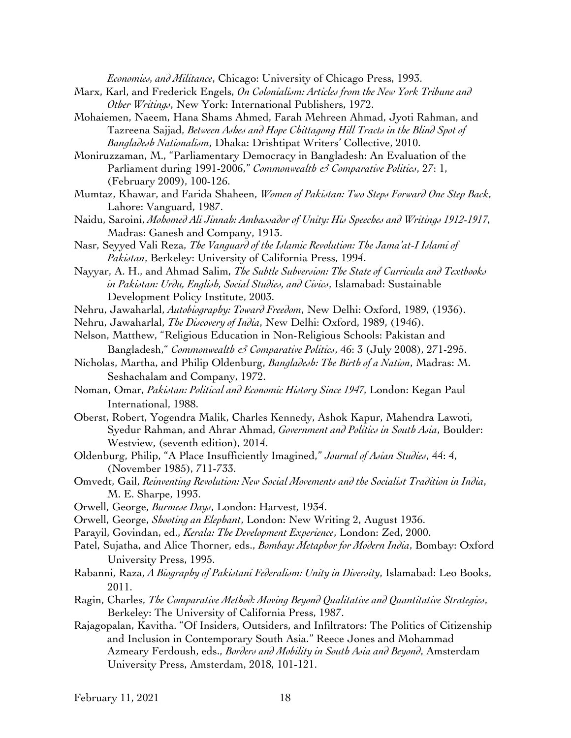*Economies, and Militance*, Chicago: University of Chicago Press, 1993.

- Marx, Karl, and Frederick Engels, *On Colonialism: Articles from the New York Tribune and Other Writings*, New York: International Publishers, 1972.
- Mohaiemen, Naeem, Hana Shams Ahmed, Farah Mehreen Ahmad, Jyoti Rahman, and Tazreena Sajjad, *Between Ashes and Hope Chittagong Hill Tracts in the Blind Spot of Bangladesh Nationalism*, Dhaka: Drishtipat Writers' Collective, 2010.
- Moniruzzaman, M., "Parliamentary Democracy in Bangladesh: An Evaluation of the Parliament during 1991-2006," *Commonwealth & Comparative Politics*, 27: 1, (February 2009), 100-126.
- Mumtaz, Khawar, and Farida Shaheen, *Women of Pakistan: Two Steps Forward One Step Back*, Lahore: Vanguard, 1987.
- Naidu, Saroini, *Mohomed Ali Jinnah: Ambassador of Unity: His Speeches and Writings 1912-1917*, Madras: Ganesh and Company, 1913.
- Nasr, Seyyed Vali Reza, *The Vanguard of the Islamic Revolution: The Jama'at-I Islami of Pakistan*, Berkeley: University of California Press, 1994.
- Nayyar, A. H., and Ahmad Salim, *The Subtle Subversion: The State of Curricula and Textbooks in Pakistan: Urdu, English, Social Studies, and Civics*, Islamabad: Sustainable Development Policy Institute, 2003.
- Nehru, Jawaharlal, *Autobiography: Toward Freedom*, New Delhi: Oxford, 1989, (1936).
- Nehru, Jawaharlal, *The Discovery of India*, New Delhi: Oxford, 1989, (1946).
- Nelson, Matthew, "Religious Education in Non-Religious Schools: Pakistan and Bangladesh," *Commonwealth & Comparative Politics*, 46: 3 (July 2008), 271-295.
- Nicholas, Martha, and Philip Oldenburg, *Bangladesh: The Birth of a Nation*, Madras: M. Seshachalam and Company, 1972.
- Noman, Omar, *Pakistan: Political and Economic History Since 1947*, London: Kegan Paul International, 1988.
- Oberst, Robert, Yogendra Malik, Charles Kennedy, Ashok Kapur, Mahendra Lawoti, Syedur Rahman, and Ahrar Ahmad, *Government and Politics in South Asia*, Boulder: Westview, (seventh edition), 2014.
- Oldenburg, Philip, "A Place Insufficiently Imagined," *Journal of Asian Studies*, 44: 4, (November 1985), 711-733.
- Omvedt, Gail, *Reinventing Revolution: New Social Movements and the Socialist Tradition in India*, M. E. Sharpe, 1993.
- Orwell, George, *Burmese Days*, London: Harvest, 1934.
- Orwell, George, *Shooting an Elephant*, London: New Writing 2, August 1936.
- Parayil, Govindan, ed., *Kerala: The Development Experience*, London: Zed, 2000.
- Patel, Sujatha, and Alice Thorner, eds., *Bombay: Metaphor for Modern India*, Bombay: Oxford University Press, 1995.
- Rabanni, Raza, *A Biography of Pakistani Federalism: Unity in Diversity*, Islamabad: Leo Books, 2011.
- Ragin, Charles, *The Comparative Method: Moving Beyond Qualitative and Quantitative Strategies*, Berkeley: The University of California Press, 1987.
- Rajagopalan, Kavitha. "Of Insiders, Outsiders, and Infiltrators: The Politics of Citizenship and Inclusion in Contemporary South Asia." Reece Jones and Mohammad Azmeary Ferdoush, eds., *Borders and Mobility in South Asia and Beyond*, Amsterdam University Press, Amsterdam, 2018, 101-121.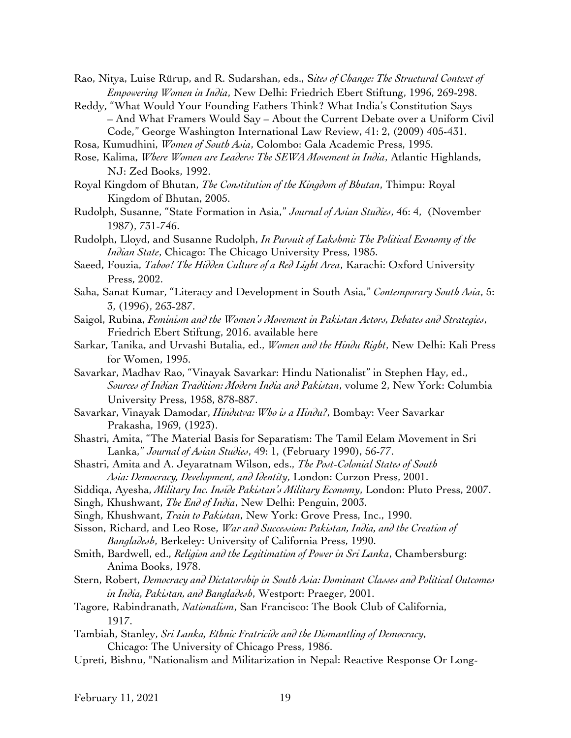- Rao, Nitya, Luise Rürup, and R. Sudarshan, eds., S*ites of Change: The Structural Context of Empowering Women in India*, New Delhi: Friedrich Ebert Stiftung, 1996, 269-298.
- Reddy, "What Would Your Founding Fathers Think? What India's Constitution Says – And What Framers Would Say – About the Current Debate over a Uniform Civil Code," George Washington International Law Review, 41: 2, (2009) 405-431.
- Rosa, Kumudhini, *Women of South Asia*, Colombo: Gala Academic Press, 1995.
- Rose, Kalima, *Where Women are Leaders: The SEWA Movement in India*, Atlantic Highlands, NJ: Zed Books, 1992.
- Royal Kingdom of Bhutan, *The Constitution of the Kingdom of Bhutan*, Thimpu: Royal Kingdom of Bhutan, 2005.
- Rudolph, Susanne, "State Formation in Asia," *Journal of Asian Studies*, 46: 4, (November 1987), 731-746.
- Rudolph, Lloyd, and Susanne Rudolph, *In Pursuit of Lakshmi: The Political Economy of the Indian State*, Chicago: The Chicago University Press, 1985.
- Saeed, Fouzia, *Taboo! The Hidden Culture of a Red Light Area*, Karachi: Oxford University Press, 2002.
- Saha, Sanat Kumar, "Literacy and Development in South Asia," *Contemporary South Asia*, 5: 3, (1996), 263-287.
- Saigol, Rubina, *Feminism and the Women's Movement in Pakistan Actors, Debates and Strategies*, Friedrich Ebert Stiftung, 2016. available here
- Sarkar, Tanika, and Urvashi Butalia, ed., *Women and the Hindu Right*, New Delhi: Kali Press for Women, 1995.
- Savarkar, Madhav Rao, "Vinayak Savarkar: Hindu Nationalist" in Stephen Hay, ed., *Sources of Indian Tradition: Modern India and Pakistan*, volume 2, New York: Columbia University Press, 1958, 878-887.
- Savarkar, Vinayak Damodar, *Hindutva: Who is a Hindu?*, Bombay: Veer Savarkar Prakasha, 1969, (1923).
- Shastri, Amita, "The Material Basis for Separatism: The Tamil Eelam Movement in Sri Lanka," *Journal of Asian Studies*, 49: 1, (February 1990), 56-77.
- Shastri, Amita and A. Jeyaratnam Wilson, eds., *The Post-Colonial States of South Asia: Democracy, Development, and Identity*, London: Curzon Press, 2001.
- Siddiqa, Ayesha, *Military Inc. Inside Pakistan's Military Economy*, London: Pluto Press, 2007.
- Singh, Khushwant, *The End of India*, New Delhi: Penguin, 2003.
- Singh, Khushwant, *Train to Pakistan*, New York: Grove Press, Inc., 1990.
- Sisson, Richard, and Leo Rose, *War and Succession: Pakistan, India, and the Creation of Bangladesh*, Berkeley: University of California Press, 1990.
- Smith, Bardwell, ed., *Religion and the Legitimation of Power in Sri Lanka*, Chambersburg: Anima Books, 1978.
- Stern, Robert, *Democracy and Dictatorship in South Asia: Dominant Classes and Political Outcomes in India, Pakistan, and Bangladesh*, Westport: Praeger, 2001.
- Tagore, Rabindranath, *Nationalism*, San Francisco: The Book Club of California, 1917.
- Tambiah, Stanley, *Sri Lanka, Ethnic Fratricide and the Dismantling of Democracy*, Chicago: The University of Chicago Press, 1986.
- Upreti, Bishnu, "Nationalism and Militarization in Nepal: Reactive Response Or Long-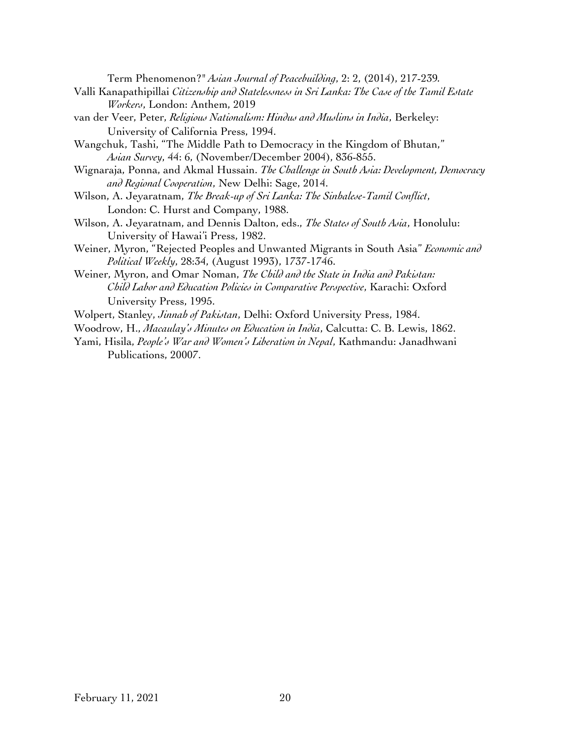Term Phenomenon?" *Asian Journal of Peacebuilding*, 2: 2, (2014), 217-239*.*

- Valli Kanapathipillai *Citizenship and Statelessness in Sri Lanka: The Case of the Tamil Estate Workers*, London: Anthem, 2019
- van der Veer, Peter, *Religious Nationalism: Hindus and Muslims in India*, Berkeley: University of California Press, 1994.
- Wangchuk, Tashi, "The Middle Path to Democracy in the Kingdom of Bhutan," *Asian Survey*, 44: 6, (November/December 2004), 836-855.
- Wignaraja, Ponna, and Akmal Hussain. *The Challenge in South Asia: Development, Democracy and Regional Cooperation*, New Delhi: Sage, 2014.
- Wilson, A. Jeyaratnam, *The Break-up of Sri Lanka: The Sinhalese-Tamil Conflict*, London: C. Hurst and Company, 1988.
- Wilson, A. Jeyaratnam, and Dennis Dalton, eds., *The States of South Asia*, Honolulu: University of Hawai'i Press, 1982.
- Weiner, Myron, "Rejected Peoples and Unwanted Migrants in South Asia" *Economic and Political Weekly*, 28:34, (August 1993), 1737-1746.
- Weiner, Myron, and Omar Noman, *The Child and the State in India and Pakistan: Child Labor and Education Policies in Comparative Perspective*, Karachi: Oxford University Press, 1995.
- Wolpert, Stanley, *Jinnah of Pakistan*, Delhi: Oxford University Press, 1984.
- Woodrow, H., *Macaulay's Minutes on Education in India*, Calcutta: C. B. Lewis, 1862.
- Yami, Hisila, *People's War and Women's Liberation in Nepal*, Kathmandu: Janadhwani Publications, 20007.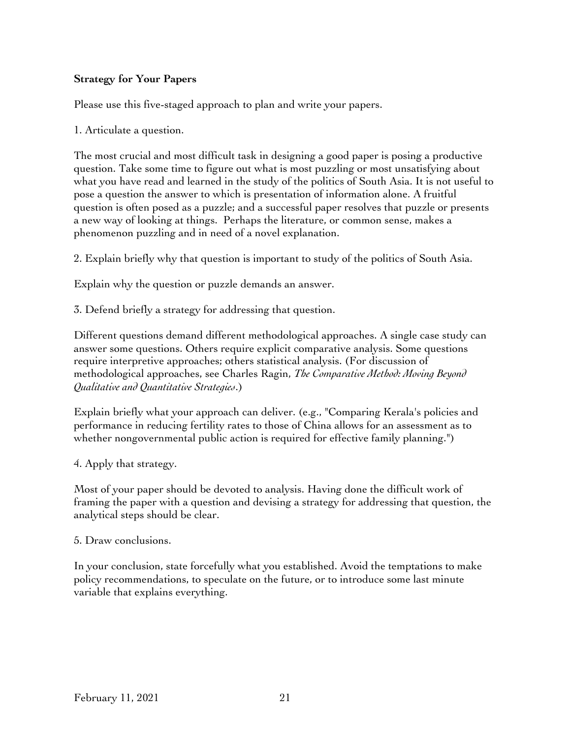# **Strategy for Your Papers**

Please use this five-staged approach to plan and write your papers.

1. Articulate a question.

The most crucial and most difficult task in designing a good paper is posing a productive question. Take some time to figure out what is most puzzling or most unsatisfying about what you have read and learned in the study of the politics of South Asia. It is not useful to pose a question the answer to which is presentation of information alone. A fruitful question is often posed as a puzzle; and a successful paper resolves that puzzle or presents a new way of looking at things. Perhaps the literature, or common sense, makes a phenomenon puzzling and in need of a novel explanation.

2. Explain briefly why that question is important to study of the politics of South Asia.

Explain why the question or puzzle demands an answer.

3. Defend briefly a strategy for addressing that question.

Different questions demand different methodological approaches. A single case study can answer some questions. Others require explicit comparative analysis. Some questions require interpretive approaches; others statistical analysis. (For discussion of methodological approaches, see Charles Ragin, *The Comparative Method: Moving Beyond Qualitative and Quantitative Strategies*.)

Explain briefly what your approach can deliver. (e.g., "Comparing Kerala's policies and performance in reducing fertility rates to those of China allows for an assessment as to whether nongovernmental public action is required for effective family planning.")

4. Apply that strategy.

Most of your paper should be devoted to analysis. Having done the difficult work of framing the paper with a question and devising a strategy for addressing that question, the analytical steps should be clear.

5. Draw conclusions.

In your conclusion, state forcefully what you established. Avoid the temptations to make policy recommendations, to speculate on the future, or to introduce some last minute variable that explains everything.